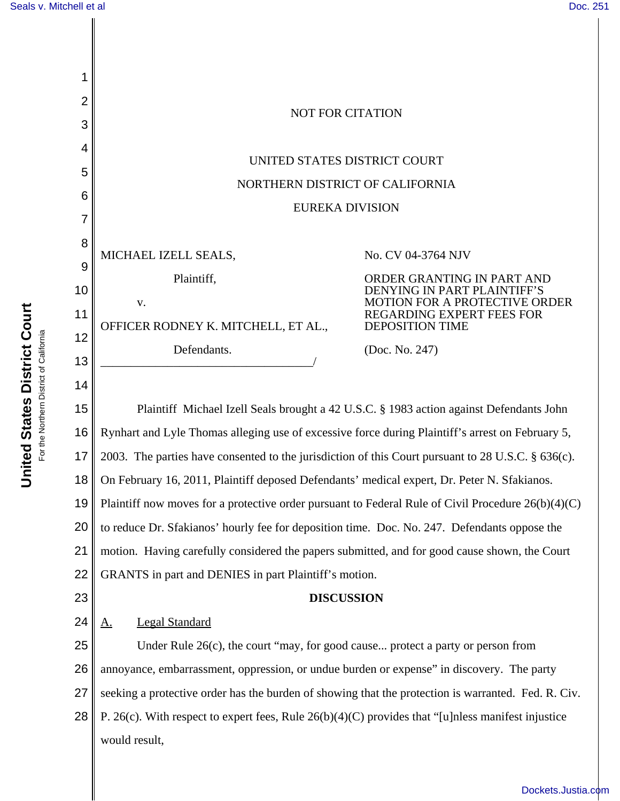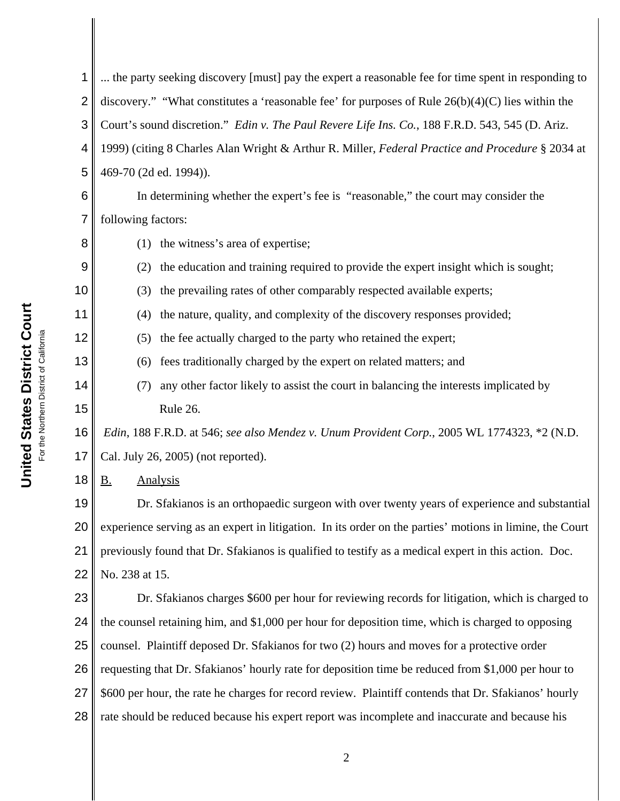| $\overline{2}$ | discovery." "What constitutes a 'reasonable fee' for purposes of Rule $26(b)(4)(C)$ lies within the      |
|----------------|----------------------------------------------------------------------------------------------------------|
| 3              | Court's sound discretion." Edin v. The Paul Revere Life Ins. Co., 188 F.R.D. 543, 545 (D. Ariz.          |
| 4              | 1999) (citing 8 Charles Alan Wright & Arthur R. Miller, Federal Practice and Procedure § 2034 at         |
| 5              | 469-70 (2d ed. 1994)).                                                                                   |
| 6              | In determining whether the expert's fee is "reasonable," the court may consider the                      |
| 7              | following factors:                                                                                       |
| 8              | the witness's area of expertise;<br>(1)                                                                  |
| 9              | the education and training required to provide the expert insight which is sought;<br>(2)                |
| 10             | the prevailing rates of other comparably respected available experts;<br>(3)                             |
| 11             | the nature, quality, and complexity of the discovery responses provided;<br>(4)                          |
| 12             | the fee actually charged to the party who retained the expert;<br>(5)                                    |
| 13             | fees traditionally charged by the expert on related matters; and<br>(6)                                  |
| 14             | any other factor likely to assist the court in balancing the interests implicated by<br>(7)              |
| 15             | Rule 26.                                                                                                 |
| 16             | Edin, 188 F.R.D. at 546; see also Mendez v. Unum Provident Corp., 2005 WL 1774323, *2 (N.D.              |
| 17             | Cal. July 26, 2005) (not reported).                                                                      |
| 18             | <b>Analysis</b><br><u>B.</u>                                                                             |
| 19             | Dr. Sfakianos is an orthopaedic surgeon with over twenty years of experience and substantial             |
| 20             | experience serving as an expert in litigation. In its order on the parties' motions in limine, the Court |
| 21             | previously found that Dr. Sfakianos is qualified to testify as a medical expert in this action. Doc.     |
| 22             | No. 238 at 15.                                                                                           |
| 23             | Dr. Sfakianos charges \$600 per hour for reviewing records for litigation, which is charged to           |
| 24             | the counsel retaining him, and \$1,000 per hour for deposition time, which is charged to opposing        |
| 25             | counsel. Plaintiff deposed Dr. Sfakianos for two (2) hours and moves for a protective order              |
| 26             | requesting that Dr. Sfakianos' hourly rate for deposition time be reduced from \$1,000 per hour to       |
| 27             | \$600 per hour, the rate he charges for record review. Plaintiff contends that Dr. Sfakianos' hourly     |
| 28             | rate should be reduced because his expert report was incomplete and inaccurate and because his           |
|                |                                                                                                          |

... the party seeking discovery [must] pay the expert a reasonable fee for time spent in responding to

1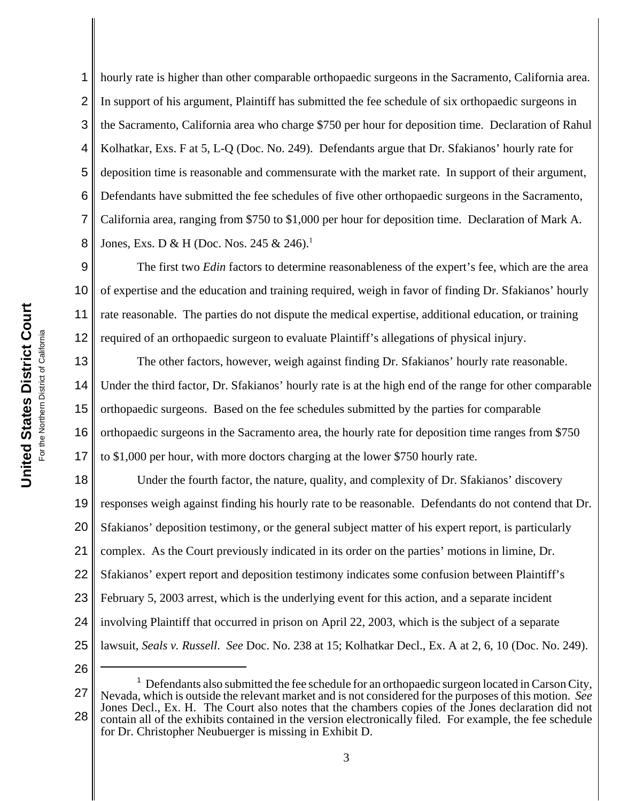1

2

3

4

5

hourly rate is higher than other comparable orthopaedic surgeons in the Sacramento, California area. In support of his argument, Plaintiff has submitted the fee schedule of six orthopaedic surgeons in the Sacramento, California area who charge \$750 per hour for deposition time. Declaration of Rahul Kolhatkar, Exs. F at 5, L-Q (Doc. No. 249). Defendants argue that Dr. Sfakianos' hourly rate for deposition time is reasonable and commensurate with the market rate. In support of their argument, Defendants have submitted the fee schedules of five other orthopaedic surgeons in the Sacramento, California area, ranging from \$750 to \$1,000 per hour for deposition time. Declaration of Mark A. Jones, Exs. D & H (Doc. Nos. 245 & 246).<sup>1</sup>

The first two *Edin* factors to determine reasonableness of the expert's fee, which are the area of expertise and the education and training required, weigh in favor of finding Dr. Sfakianos' hourly rate reasonable. The parties do not dispute the medical expertise, additional education, or training required of an orthopaedic surgeon to evaluate Plaintiff's allegations of physical injury.

17 The other factors, however, weigh against finding Dr. Sfakianos' hourly rate reasonable. Under the third factor, Dr. Sfakianos' hourly rate is at the high end of the range for other comparable orthopaedic surgeons. Based on the fee schedules submitted by the parties for comparable orthopaedic surgeons in the Sacramento area, the hourly rate for deposition time ranges from \$750 to \$1,000 per hour, with more doctors charging at the lower \$750 hourly rate.

18 19 20 21 22 23 24 25 Under the fourth factor, the nature, quality, and complexity of Dr. Sfakianos' discovery responses weigh against finding his hourly rate to be reasonable. Defendants do not contend that Dr. Sfakianos' deposition testimony, or the general subject matter of his expert report, is particularly complex. As the Court previously indicated in its order on the parties' motions in limine, Dr. Sfakianos' expert report and deposition testimony indicates some confusion between Plaintiff's February 5, 2003 arrest, which is the underlying event for this action, and a separate incident involving Plaintiff that occurred in prison on April 22, 2003, which is the subject of a separate lawsuit, *Seals v. Russell*. *See* Doc. No. 238 at 15; Kolhatkar Decl., Ex. A at 2, 6, 10 (Doc. No. 249).

26

<sup>27</sup> 28  $<sup>1</sup>$  Defendants also submitted the fee schedule for an orthopaedic surgeon located in Carson City,</sup> Nevada, which is outside the relevant market and is not considered for the purposes of this motion. *See* Jones Decl., Ex. H. The Court also notes that the chambers copies of the Jones declaration did not contain all of the exhibits contained in the version electronically filed. For example, the fee schedule for Dr. Christopher Neubuerger is missing in Exhibit D.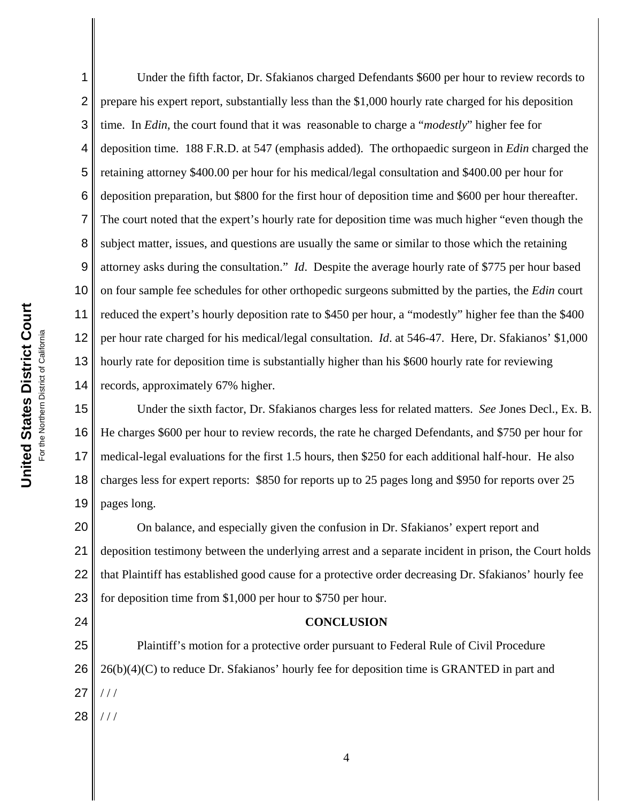1 2 3 4 5 6 7 8 9 10 11 12 13 14 Under the fifth factor, Dr. Sfakianos charged Defendants \$600 per hour to review records to prepare his expert report, substantially less than the \$1,000 hourly rate charged for his deposition time. In *Edin*, the court found that it was reasonable to charge a "*modestly*" higher fee for deposition time. 188 F.R.D. at 547 (emphasis added). The orthopaedic surgeon in *Edin* charged the retaining attorney \$400.00 per hour for his medical/legal consultation and \$400.00 per hour for deposition preparation, but \$800 for the first hour of deposition time and \$600 per hour thereafter. The court noted that the expert's hourly rate for deposition time was much higher "even though the subject matter, issues, and questions are usually the same or similar to those which the retaining attorney asks during the consultation." *Id*. Despite the average hourly rate of \$775 per hour based on four sample fee schedules for other orthopedic surgeons submitted by the parties, the *Edin* court reduced the expert's hourly deposition rate to \$450 per hour, a "modestly" higher fee than the \$400 per hour rate charged for his medical/legal consultation. *Id*. at 546-47. Here, Dr. Sfakianos' \$1,000 hourly rate for deposition time is substantially higher than his \$600 hourly rate for reviewing records, approximately 67% higher.

15 16 17 18 19 Under the sixth factor, Dr. Sfakianos charges less for related matters. *See* Jones Decl., Ex. B. He charges \$600 per hour to review records, the rate he charged Defendants, and \$750 per hour for medical-legal evaluations for the first 1.5 hours, then \$250 for each additional half-hour. He also charges less for expert reports: \$850 for reports up to 25 pages long and \$950 for reports over 25 pages long.

20 21 22 23 On balance, and especially given the confusion in Dr. Sfakianos' expert report and deposition testimony between the underlying arrest and a separate incident in prison, the Court holds that Plaintiff has established good cause for a protective order decreasing Dr. Sfakianos' hourly fee for deposition time from \$1,000 per hour to \$750 per hour.

## **CONCLUSION**

25 26 27 28 Plaintiff's motion for a protective order pursuant to Federal Rule of Civil Procedure  $26(b)(4)(C)$  to reduce Dr. Sfakianos' hourly fee for deposition time is GRANTED in part and / / / / / /

24